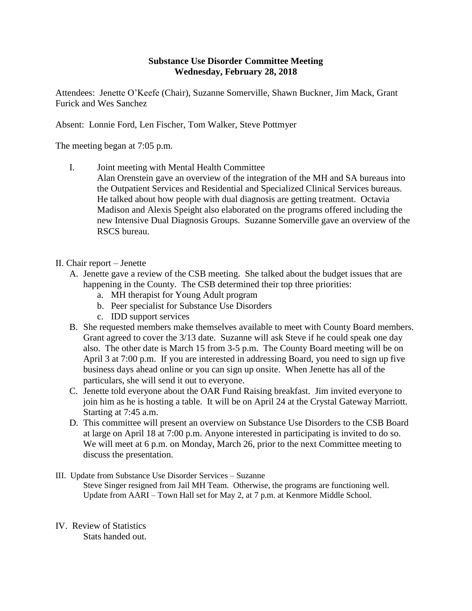## **Substance Use Disorder Committee Meeting Wednesday, February 28, 2018**

Attendees: Jenette O'Keefe (Chair), Suzanne Somerville, Shawn Buckner, Jim Mack, Grant Furick and Wes Sanchez

Absent: Lonnie Ford, Len Fischer, Tom Walker, Steve Pottmyer

The meeting began at 7:05 p.m.

- I. Joint meeting with Mental Health Committee
	- Alan Orenstein gave an overview of the integration of the MH and SA bureaus into the Outpatient Services and Residential and Specialized Clinical Services bureaus. He talked about how people with dual diagnosis are getting treatment. Octavia Madison and Alexis Speight also elaborated on the programs offered including the new Intensive Dual Diagnosis Groups. Suzanne Somerville gave an overview of the RSCS bureau.
- II. Chair report Jenette
	- A. Jenette gave a review of the CSB meeting. She talked about the budget issues that are happening in the County. The CSB determined their top three priorities:
		- a. MH therapist for Young Adult program
		- b. Peer specialist for Substance Use Disorders
		- c. IDD support services
	- B. She requested members make themselves available to meet with County Board members. Grant agreed to cover the 3/13 date. Suzanne will ask Steve if he could speak one day also. The other date is March 15 from 3-5 p.m. The County Board meeting will be on April 3 at 7:00 p.m. If you are interested in addressing Board, you need to sign up five business days ahead online or you can sign up onsite. When Jenette has all of the particulars, she will send it out to everyone.
	- C. Jenette told everyone about the OAR Fund Raising breakfast. Jim invited everyone to join him as he is hosting a table. It will be on April 24 at the Crystal Gateway Marriott. Starting at 7:45 a.m.
	- D. This committee will present an overview on Substance Use Disorders to the CSB Board at large on April 18 at 7:00 p.m. Anyone interested in participating is invited to do so. We will meet at 6 p.m. on Monday, March 26, prior to the next Committee meeting to discuss the presentation.
- III. Update from Substance Use Disorder Services Suzanne Steve Singer resigned from Jail MH Team. Otherwise, the programs are functioning well. Update from AARI – Town Hall set for May 2, at 7 p.m. at Kenmore Middle School.
- IV. Review of Statistics Stats handed out.